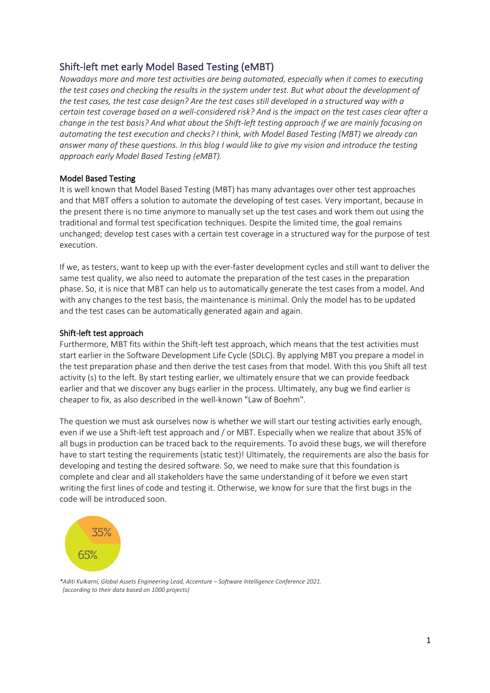# Shift-left met early Model Based Testing (eMBT)

*Nowadays more and more test activities are being automated, especially when it comes to executing the test cases and checking the results in the system under test. But what about the development of the test cases, the test case design? Are the test cases still developed in a structured way with a certain test coverage based on a well-considered risk? And is the impact on the test cases clear after a change in the test basis? And what about the Shift-left testing approach if we are mainly focusing on automating the test execution and checks? I think, with Model Based Testing (MBT) we already can answer many of these questions. In this blog I would like to give my vision and introduce the testing approach early Model Based Testing (eMBT).*

## Model Based Testing

It is well known that Model Based Testing (MBT) has many advantages over other test approaches and that MBT offers a solution to automate the developing of test cases. Very important, because in the present there is no time anymore to manually set up the test cases and work them out using the traditional and formal test specification techniques. Despite the limited time, the goal remains unchanged; develop test cases with a certain test coverage in a structured way for the purpose of test execution.

If we, as testers, want to keep up with the ever-faster development cycles and still want to deliver the same test quality, we also need to automate the preparation of the test cases in the preparation phase. So, it is nice that MBT can help us to automatically generate the test cases from a model. And with any changes to the test basis, the maintenance is minimal. Only the model has to be updated and the test cases can be automatically generated again and again.

## Shift-left test approach

Furthermore, MBT fits within the Shift-left test approach, which means that the test activities must start earlier in the Software Development Life Cycle (SDLC). By applying MBT you prepare a model in the test preparation phase and then derive the test cases from that model. With this you Shift all test activity (s) to the left. By start testing earlier, we ultimately ensure that we can provide feedback earlier and that we discover any bugs earlier in the process. Ultimately, any bug we find earlier is cheaper to fix, as also described in the well-known "Law of Boehm".

The question we must ask ourselves now is whether we will start our testing activities early enough, even if we use a Shift-left test approach and / or MBT. Especially when we realize that about 35% of all bugs in production can be traced back to the requirements. To avoid these bugs, we will therefore have to start testing the requirements (static test)! Ultimately, the requirements are also the basis for developing and testing the desired software. So, we need to make sure that this foundation is complete and clear and all stakeholders have the same understanding of it before we even start writing the first lines of code and testing it. Otherwise, we know for sure that the first bugs in the code will be introduced soon.



*\*Aditi Kulkarni, Global Assets Engineering Lead, Accenture – Software Intelligence Conference 2021. (according to their data based on 1000 projects)*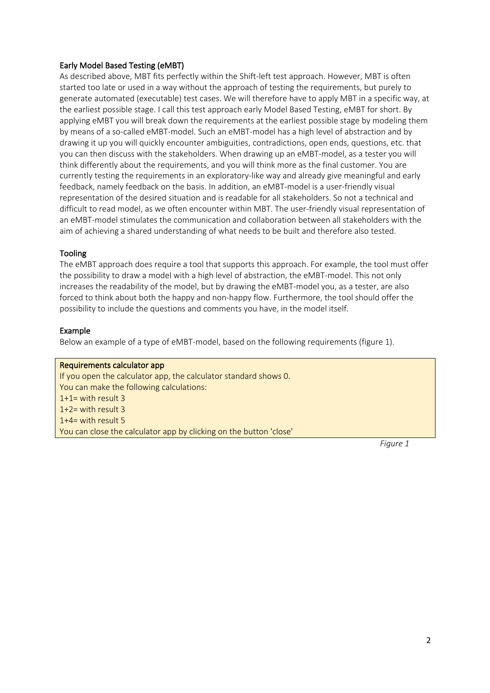## Early Model Based Testing (eMBT)

As described above, MBT fits perfectly within the Shift-left test approach. However, MBT is often started too late or used in a way without the approach of testing the requirements, but purely to generate automated (executable) test cases. We will therefore have to apply MBT in a specific way, at the earliest possible stage. I call this test approach early Model Based Testing, eMBT for short. By applying eMBT you will break down the requirements at the earliest possible stage by modeling them by means of a so-called eMBT-model. Such an eMBT-model has a high level of abstraction and by drawing it up you will quickly encounter ambiguities, contradictions, open ends, questions, etc. that you can then discuss with the stakeholders. When drawing up an eMBT-model, as a tester you will think differently about the requirements, and you will think more as the final customer. You are currently testing the requirements in an exploratory-like way and already give meaningful and early feedback, namely feedback on the basis. In addition, an eMBT-model is a user-friendly visual representation of the desired situation and is readable for all stakeholders. So not a technical and difficult to read model, as we often encounter within MBT. The user-friendly visual representation of an eMBT-model stimulates the communication and collaboration between all stakeholders with the aim of achieving a shared understanding of what needs to be built and therefore also tested.

## Tooling

The eMBT approach does require a tool that supports this approach. For example, the tool must offer the possibility to draw a model with a high level of abstraction, the eMBT-model. This not only increases the readability of the model, but by drawing the eMBT-model you, as a tester, are also forced to think about both the happy and non-happy flow. Furthermore, the tool should offer the possibility to include the questions and comments you have, in the model itself.

## Example

Below an example of a type of eMBT-model, based on the following requirements (figure 1).

## Requirements calculator app

If you open the calculator app, the calculator standard shows 0. You can make the following calculations: 1+1= with result 3 1+2= with result 3 1+4= with result 5 You can close the calculator app by clicking on the button 'close'

*Figure 1*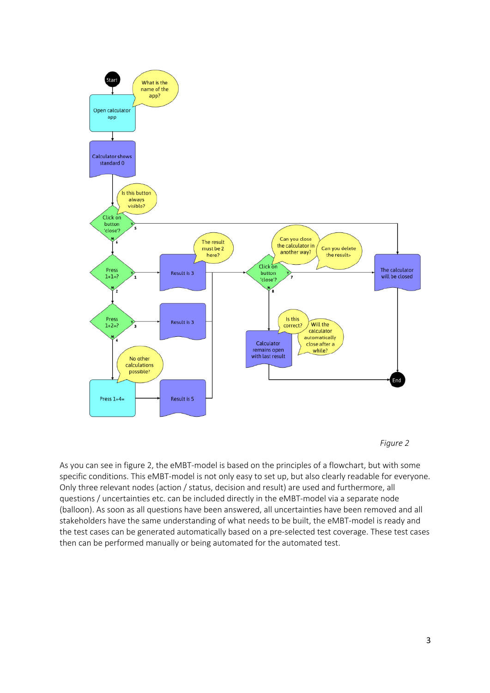



As you can see in figure 2, the eMBT-model is based on the principles of a flowchart, but with some specific conditions. This eMBT-model is not only easy to set up, but also clearly readable for everyone. Only three relevant nodes (action / status, decision and result) are used and furthermore, all questions / uncertainties etc. can be included directly in the eMBT-model via a separate node (balloon). As soon as all questions have been answered, all uncertainties have been removed and all stakeholders have the same understanding of what needs to be built, the eMBT-model is ready and the test cases can be generated automatically based on a pre-selected test coverage. These test cases then can be performed manually or being automated for the automated test.